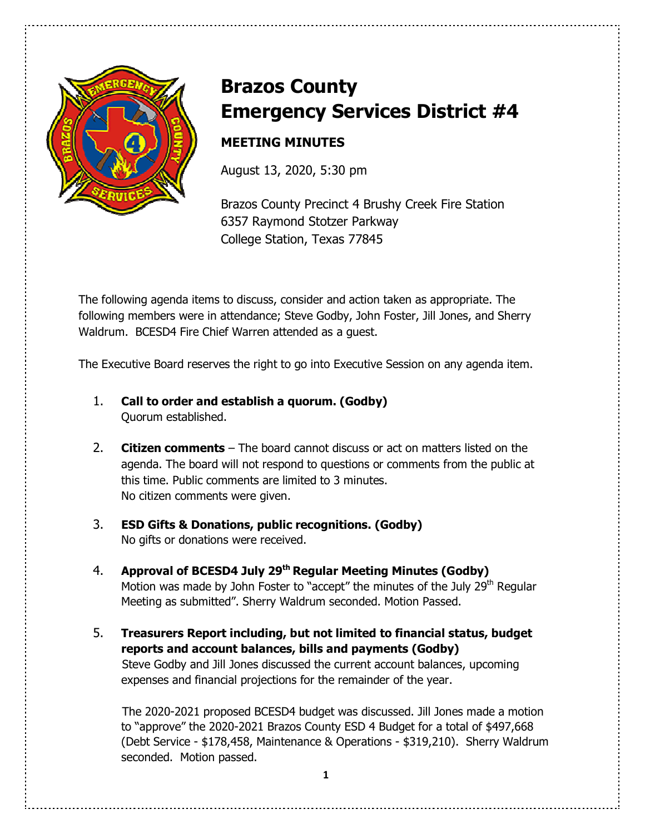

# **Brazos County Emergency Services District #4**

# **MEETING MINUTES**

August 13, 2020, 5:30 pm

Brazos County Precinct 4 Brushy Creek Fire Station 6357 Raymond Stotzer Parkway College Station, Texas 77845

The following agenda items to discuss, consider and action taken as appropriate. The following members were in attendance; Steve Godby, John Foster, Jill Jones, and Sherry Waldrum. BCESD4 Fire Chief Warren attended as a guest.

The Executive Board reserves the right to go into Executive Session on any agenda item.

- 1. **Call to order and establish a quorum. (Godby)** Quorum established.
- 2. **Citizen comments** The board cannot discuss or act on matters listed on the agenda. The board will not respond to questions or comments from the public at this time. Public comments are limited to 3 minutes. No citizen comments were given.
- 3. **ESD Gifts & Donations, public recognitions. (Godby)** No gifts or donations were received.
- 4. **Approval of BCESD4 July 29th Regular Meeting Minutes (Godby)** Motion was made by John Foster to "accept" the minutes of the July 29<sup>th</sup> Regular Meeting as submitted". Sherry Waldrum seconded. Motion Passed.
- 5. **Treasurers Report including, but not limited to financial status, budget reports and account balances, bills and payments (Godby)**  Steve Godby and Jill Jones discussed the current account balances, upcoming expenses and financial projections for the remainder of the year.

The 2020-2021 proposed BCESD4 budget was discussed. Jill Jones made a motion to "approve" the 2020-2021 Brazos County ESD 4 Budget for a total of \$497,668 (Debt Service - \$178,458, Maintenance & Operations - \$319,210). Sherry Waldrum seconded. Motion passed.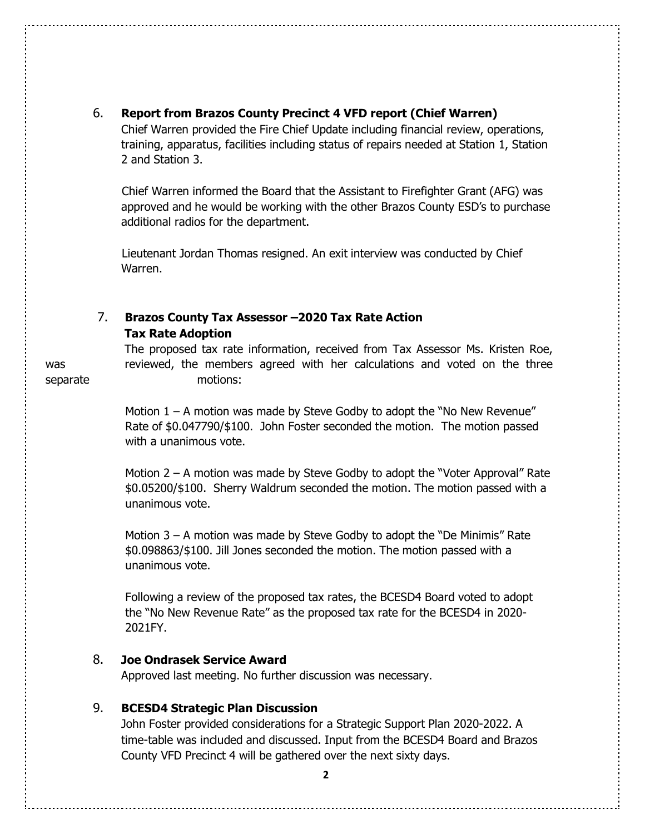# 6. **Report from Brazos County Precinct 4 VFD report (Chief Warren)**

 Chief Warren provided the Fire Chief Update including financial review, operations, training, apparatus, facilities including status of repairs needed at Station 1, Station 2 and Station 3.

 Chief Warren informed the Board that the Assistant to Firefighter Grant (AFG) was approved and he would be working with the other Brazos County ESD's to purchase additional radios for the department.

 Lieutenant Jordan Thomas resigned. An exit interview was conducted by Chief Warren.

# 7. **Brazos County Tax Assessor –2020 Tax Rate Action Tax Rate Adoption**

The proposed tax rate information, received from Tax Assessor Ms. Kristen Roe, was reviewed, the members agreed with her calculations and voted on the three separate motions:

> Motion  $1 - A$  motion was made by Steve Godby to adopt the "No New Revenue" Rate of \$0.047790/\$100. John Foster seconded the motion. The motion passed with a unanimous vote.

Motion 2 – A motion was made by Steve Godby to adopt the "Voter Approval" Rate \$0.05200/\$100. Sherry Waldrum seconded the motion. The motion passed with a unanimous vote.

Motion 3 – A motion was made by Steve Godby to adopt the "De Minimis" Rate \$0.098863/\$100. Jill Jones seconded the motion. The motion passed with a unanimous vote.

Following a review of the proposed tax rates, the BCESD4 Board voted to adopt the "No New Revenue Rate" as the proposed tax rate for the BCESD4 in 2020- 2021FY.

# 8. **Joe Ondrasek Service Award**

Approved last meeting. No further discussion was necessary.

# 9. **BCESD4 Strategic Plan Discussion**

John Foster provided considerations for a Strategic Support Plan 2020-2022. A time-table was included and discussed. Input from the BCESD4 Board and Brazos County VFD Precinct 4 will be gathered over the next sixty days.